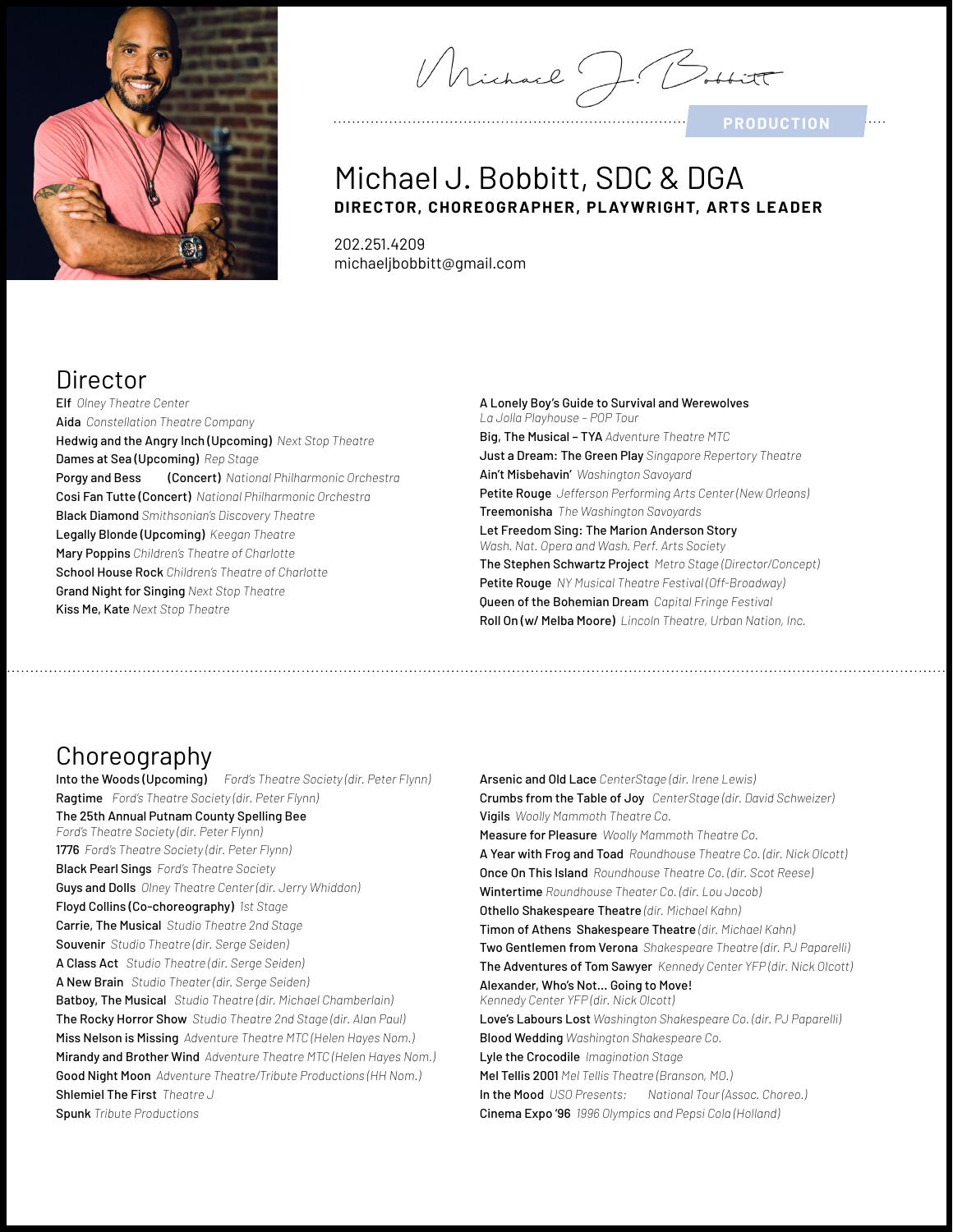

Michael J.

**PRODUCTION**

### Michael J. Bobbitt, SDC & DGA **DIRECTOR, CHOREOGR APHER, PL AYWRIGHT, ARTS LEADER**

202.251.4209 michaeljbobbitt@gmail.com

## Director

Elf *Olney Theatre Center* Aida *Constellation Theatre Company* Hedwig and the Angry Inch (Upcoming) *Next Stop Theatre* Dames at Sea (Upcoming) *Rep Stage* Porgy and Bess (Concert) *National Philharmonic Orchestra* Cosi Fan Tutte (Concert) *National Philharmonic Orchestra* Black Diamond *Smithsonian's Discovery Theatre* Legally Blonde (Upcoming) *Keegan Theatre* Mary Poppins *Children's Theatre of Charlotte* School House Rock *Children's Theatre of Charlotte* Grand Night for Singing *Next Stop Theatre* Kiss Me, Kate *Next Stop Theatre*

A Lonely Boy's Guide to Survival and Werewolves *La Jolla Playhouse – POP Tour* Big, The Musical – TYA *Adventure Theatre MTC* Just a Dream: The Green Play *Singapore Repertory Theatre* Ain't Misbehavin' *Washington Savoyard* Petite Rouge *Jefferson Performing Arts Center (New Orleans)* Treemonisha *The Washington Savoyards* Let Freedom Sing: The Marion Anderson Story *Wash. Nat. Opera and Wash. Perf. Arts Society*  The Stephen Schwartz Project *Metro Stage (Director/Concept)* Petite Rouge *NY Musical Theatre Festival (Off-Broadway)* Queen of the Bohemian Dream *Capital Fringe Festival* Roll On (w/ Melba Moore) *Lincoln Theatre, Urban Nation, Inc.*

#### Choreography

Into the Woods (Upcoming) *Ford's Theatre Society (dir. Peter Flynn)* Ragtime *Ford's Theatre Society (dir. Peter Flynn)* The 25th Annual Putnam County Spelling Bee *Ford's Theatre Society (dir. Peter Flynn)* 1776 *Ford's Theatre Society (dir. Peter Flynn)* Black Pearl Sings *Ford's Theatre Society*  Guys and Dolls *Olney Theatre Center (dir. Jerry Whiddon)* Floyd Collins (Co-choreography) *1st Stage* Carrie, The Musical *Studio Theatre 2nd Stage* Souvenir *Studio Theatre (dir. Serge Seiden)* A Class Act *Studio Theatre (dir. Serge Seiden)* A New Brain *Studio Theater (dir. Serge Seiden)* Batboy, The Musical *Studio Theatre (dir. Michael Chamberlain)* The Rocky Horror Show *Studio Theatre 2nd Stage (dir. Alan Paul)* Miss Nelson is Missing *Adventure Theatre MTC (Helen Hayes Nom.)* Mirandy and Brother Wind *Adventure Theatre MTC (Helen Hayes Nom.)* Good Night Moon *Adventure Theatre/Tribute Productions (HH Nom.)* Shlemiel The First *Theatre J* Spunk *Tribute Productions*

Arsenic and Old Lace *CenterStage (dir. Irene Lewis)* Crumbs from the Table of Joy *CenterStage (dir. David Schweizer)* Vigils *Woolly Mammoth Theatre Co.* Measure for Pleasure *Woolly Mammoth Theatre Co.* A Year with Frog and Toad *Roundhouse Theatre Co. (dir. Nick Olcott)* Once On This Island *Roundhouse Theatre Co. (dir. Scot Reese)* Wintertime *Roundhouse Theater Co. (dir. Lou Jacob)* Othello Shakespeare Theatre *(dir. Michael Kahn)* Timon of Athens Shakespeare Theatre *(dir. Michael Kahn)* Two Gentlemen from Verona *Shakespeare Theatre (dir. PJ Paparelli)* The Adventures of Tom Sawyer *Kennedy Center YFP (dir. Nick Olcott)* Alexander, Who's Not… Going to Move! *Kennedy Center YFP (dir. Nick Olcott)* Love's Labours Lost *Washington Shakespeare Co. (dir. PJ Paparelli)* Blood Wedding *Washington Shakespeare Co.* Lyle the Crocodile *Imagination Stage* Mel Tellis 2001 *Mel Tellis Theatre (Branson, MO.)* In the Mood *USO Presents: National Tour (Assoc. Choreo.)* Cinema Expo '96 *1996 Olympics and Pepsi Cola (Holland)*